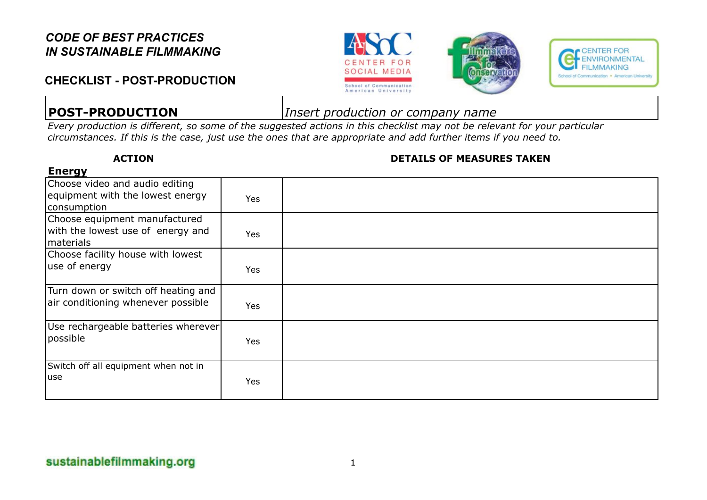### **CHECKLIST - POST-PRODUCTION**







**Energy**

**POST-PRODUCTION** *Insert production or company name*

*Every production is different, so some of the suggested actions in this checklist may not be relevant for your particular circumstances. If this is the case, just use the ones that are appropriate and add further items if you need to.*

#### **ACTION DETAILS OF MEASURES TAKEN**

| Choose video and audio editing<br>equipment with the lowest energy<br>consumption | <b>Yes</b> |  |
|-----------------------------------------------------------------------------------|------------|--|
| Choose equipment manufactured<br>with the lowest use of energy and<br>materials   | <b>Yes</b> |  |
| Choose facility house with lowest                                                 |            |  |
| use of energy                                                                     | <b>Yes</b> |  |
| Turn down or switch off heating and<br>air conditioning whenever possible         | <b>Yes</b> |  |
| Use rechargeable batteries wherever<br>possible                                   | <b>Yes</b> |  |
| Switch off all equipment when not in<br>luse                                      | <b>Yes</b> |  |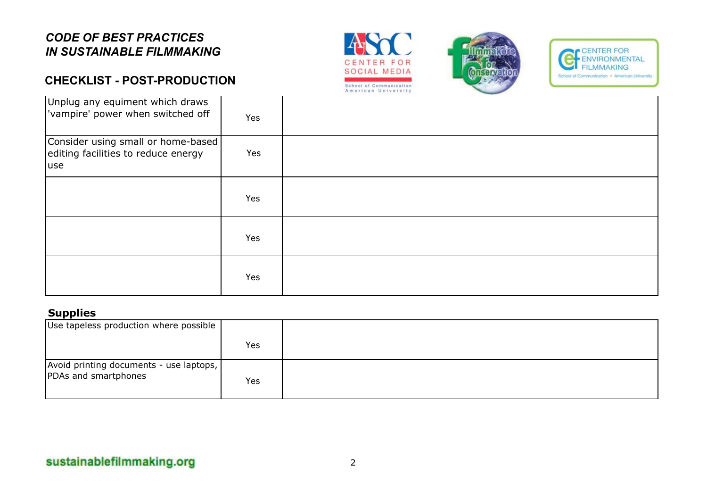### **CHECKLIST - POST-PRODUCTION**







| Unplug any equiment which draws<br>vampire' power when switched off               | Yes |  |
|-----------------------------------------------------------------------------------|-----|--|
| Consider using small or home-based<br>editing facilities to reduce energy<br>luse | Yes |  |
|                                                                                   | Yes |  |
|                                                                                   | Yes |  |
|                                                                                   | Yes |  |

#### **Supplies**

| Use tapeless production where possible                            |     |  |
|-------------------------------------------------------------------|-----|--|
|                                                                   | Yes |  |
| Avoid printing documents - use laptops,  <br>PDAs and smartphones | Yes |  |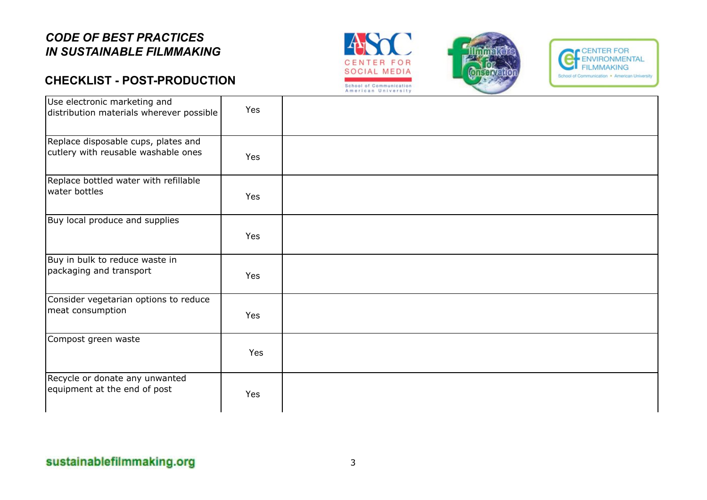# **CHECKLIST - POST-PRODUCTION**







| Use electronic marketing and<br>distribution materials wherever possible   | Yes |  |
|----------------------------------------------------------------------------|-----|--|
| Replace disposable cups, plates and<br>cutlery with reusable washable ones | Yes |  |
| Replace bottled water with refillable<br>water bottles                     | Yes |  |
| Buy local produce and supplies                                             | Yes |  |
| Buy in bulk to reduce waste in<br>packaging and transport                  | Yes |  |
| Consider vegetarian options to reduce<br>meat consumption                  | Yes |  |
| Compost green waste                                                        | Yes |  |
| Recycle or donate any unwanted<br>equipment at the end of post             | Yes |  |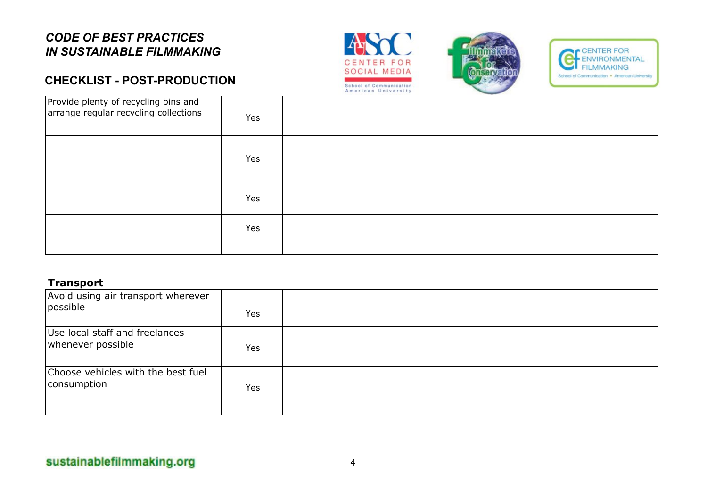# **CHECKLIST - POST-PRODUCTION**







| Provide plenty of recycling bins and<br>arrange regular recycling collections | Yes |  |
|-------------------------------------------------------------------------------|-----|--|
|                                                                               | Yes |  |
|                                                                               | Yes |  |
|                                                                               | Yes |  |

#### **Transport**

| Avoid using air transport wherever<br>possible      | Yes        |  |
|-----------------------------------------------------|------------|--|
| Use local staff and freelances<br>whenever possible | <b>Yes</b> |  |
| Choose vehicles with the best fuel<br>consumption   | <b>Yes</b> |  |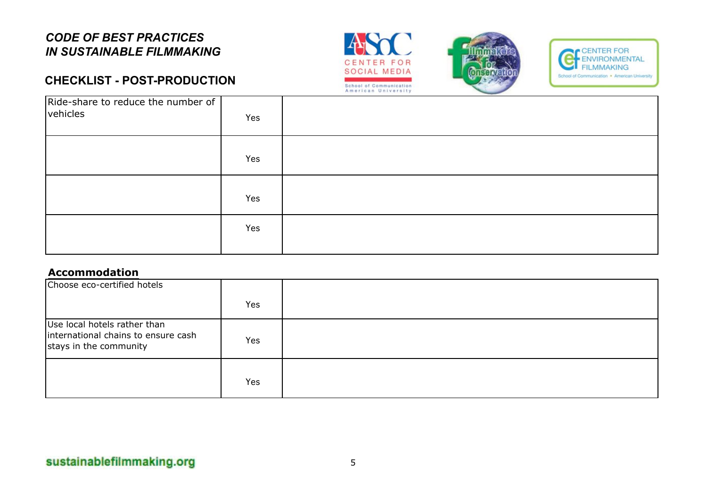# **CHECKLIST - POST-PRODUCTION**







| Ride-share to reduce the number of<br>vehicles | Yes |  |
|------------------------------------------------|-----|--|
|                                                | Yes |  |
|                                                | Yes |  |
|                                                | Yes |  |

#### **Accommodation**

| Choose eco-certified hotels                                                                   |     |  |
|-----------------------------------------------------------------------------------------------|-----|--|
|                                                                                               | Yes |  |
| Use local hotels rather than<br>international chains to ensure cash<br>stays in the community | Yes |  |
|                                                                                               | Yes |  |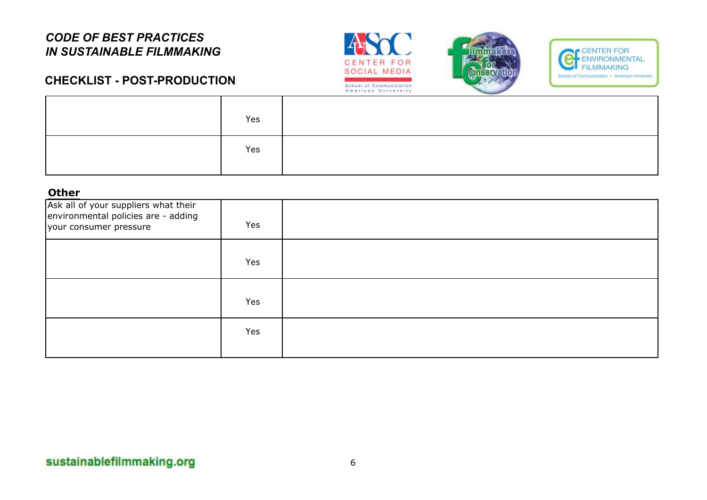





# **CHECKLIST - POST-PRODUCTION**

| Yes |  |
|-----|--|
| Yes |  |

#### **Other**

| Ask all of your suppliers what their<br>environmental policies are - adding<br>your consumer pressure | Yes |  |
|-------------------------------------------------------------------------------------------------------|-----|--|
|                                                                                                       | Yes |  |
|                                                                                                       | Yes |  |
|                                                                                                       | Yes |  |